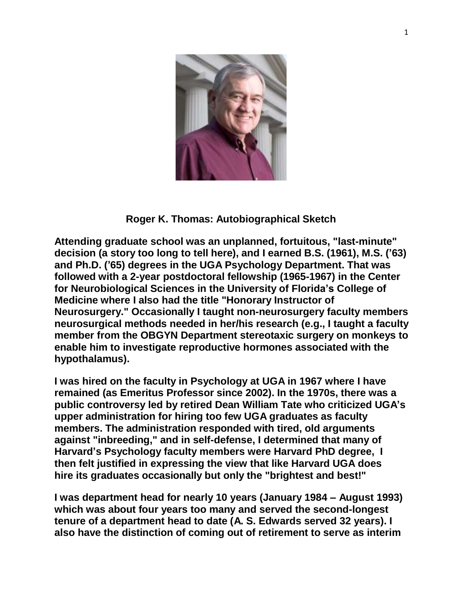

## **Roger K. Thomas: Autobiographical Sketch**

**Attending graduate school was an unplanned, fortuitous, "last-minute" decision (a story too long to tell here), and I earned B.S. (1961), M.S. ('63) and Ph.D. ('65) degrees in the UGA Psychology Department. That was followed with a 2-year postdoctoral fellowship (1965-1967) in the Center for Neurobiological Sciences in the University of Florida's College of Medicine where I also had the title "Honorary Instructor of Neurosurgery." Occasionally I taught non-neurosurgery faculty members neurosurgical methods needed in her/his research (e.g., I taught a faculty member from the OBGYN Department stereotaxic surgery on monkeys to enable him to investigate reproductive hormones associated with the hypothalamus).**

**I was hired on the faculty in Psychology at UGA in 1967 where I have remained (as Emeritus Professor since 2002). In the 1970s, there was a public controversy led by retired Dean William Tate who criticized UGA's upper administration for hiring too few UGA graduates as faculty members. The administration responded with tired, old arguments against "inbreeding," and in self-defense, I determined that many of Harvard's Psychology faculty members were Harvard PhD degree, I then felt justified in expressing the view that like Harvard UGA does hire its graduates occasionally but only the "brightest and best!"**

**I was department head for nearly 10 years (January 1984 – August 1993) which was about four years too many and served the second-longest tenure of a department head to date (A. S. Edwards served 32 years). I also have the distinction of coming out of retirement to serve as interim**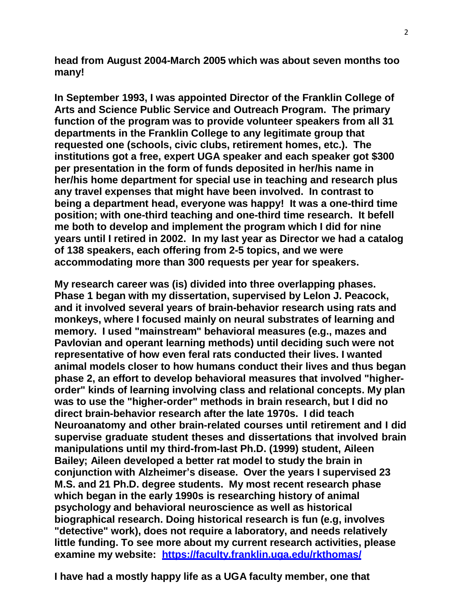**head from August 2004-March 2005 which was about seven months too many!**

**In September 1993, I was appointed Director of the Franklin College of Arts and Science Public Service and Outreach Program. The primary function of the program was to provide volunteer speakers from all 31 departments in the Franklin College to any legitimate group that requested one (schools, civic clubs, retirement homes, etc.). The institutions got a free, expert UGA speaker and each speaker got \$300 per presentation in the form of funds deposited in her/his name in her/his home department for special use in teaching and research plus any travel expenses that might have been involved. In contrast to being a department head, everyone was happy! It was a one-third time position; with one-third teaching and one-third time research. It befell me both to develop and implement the program which I did for nine years until I retired in 2002. In my last year as Director we had a catalog of 138 speakers, each offering from 2-5 topics, and we were accommodating more than 300 requests per year for speakers.**

**My research career was (is) divided into three overlapping phases. Phase 1 began with my dissertation, supervised by Lelon J. Peacock, and it involved several years of brain-behavior research using rats and monkeys, where I focused mainly on neural substrates of learning and memory. I used "mainstream" behavioral measures (e.g., mazes and Pavlovian and operant learning methods) until deciding such were not representative of how even feral rats conducted their lives. I wanted animal models closer to how humans conduct their lives and thus began phase 2, an effort to develop behavioral measures that involved "higherorder" kinds of learning involving class and relational concepts. My plan was to use the "higher-order" methods in brain research, but I did no direct brain-behavior research after the late 1970s. I did teach Neuroanatomy and other brain-related courses until retirement and I did supervise graduate student theses and dissertations that involved brain manipulations until my third-from-last Ph.D. (1999) student, Aileen Bailey; Aileen developed a better rat model to study the brain in conjunction with Alzheimer's disease. Over the years I supervised 23 M.S. and 21 Ph.D. degree students. My most recent research phase which began in the early 1990s is researching history of animal psychology and behavioral neuroscience as well as historical biographical research. Doing historical research is fun (e.g, involves "detective" work), does not require a laboratory, and needs relatively little funding. To see more about my current research activities, please examine my website: <https://faculty.franklin.uga.edu/rkthomas/>**

**I have had a mostly happy life as a UGA faculty member, one that**